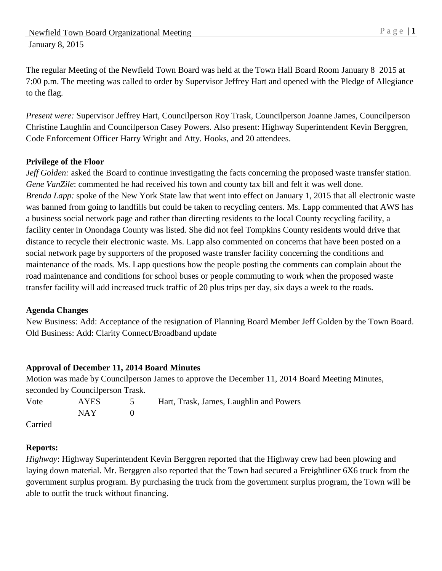The regular Meeting of the Newfield Town Board was held at the Town Hall Board Room January 8 2015 at 7:00 p.m. The meeting was called to order by Supervisor Jeffrey Hart and opened with the Pledge of Allegiance to the flag.

*Present were:* Supervisor Jeffrey Hart, Councilperson Roy Trask, Councilperson Joanne James, Councilperson Christine Laughlin and Councilperson Casey Powers. Also present: Highway Superintendent Kevin Berggren, Code Enforcement Officer Harry Wright and Atty. Hooks, and 20 attendees.

### **Privilege of the Floor**

*Jeff Golden:* asked the Board to continue investigating the facts concerning the proposed waste transfer station. *Gene VanZile*: commented he had received his town and county tax bill and felt it was well done. *Brenda Lapp:* spoke of the New York State law that went into effect on January 1, 2015 that all electronic waste was banned from going to landfills but could be taken to recycling centers. Ms. Lapp commented that AWS has a business social network page and rather than directing residents to the local County recycling facility, a facility center in Onondaga County was listed. She did not feel Tompkins County residents would drive that distance to recycle their electronic waste. Ms. Lapp also commented on concerns that have been posted on a social network page by supporters of the proposed waste transfer facility concerning the conditions and maintenance of the roads. Ms. Lapp questions how the people posting the comments can complain about the road maintenance and conditions for school buses or people commuting to work when the proposed waste transfer facility will add increased truck traffic of 20 plus trips per day, six days a week to the roads.

### **Agenda Changes**

New Business: Add: Acceptance of the resignation of Planning Board Member Jeff Golden by the Town Board. Old Business: Add: Clarity Connect/Broadband update

# **Approval of December 11, 2014 Board Minutes**

Motion was made by Councilperson James to approve the December 11, 2014 Board Meeting Minutes, seconded by Councilperson Trask. Vote AYES 5 Hart, Trask, James, Laughlin and Powers NAY 0 Carried

### **Reports:**

*Highway*: Highway Superintendent Kevin Berggren reported that the Highway crew had been plowing and laying down material. Mr. Berggren also reported that the Town had secured a Freightliner 6X6 truck from the government surplus program. By purchasing the truck from the government surplus program, the Town will be able to outfit the truck without financing.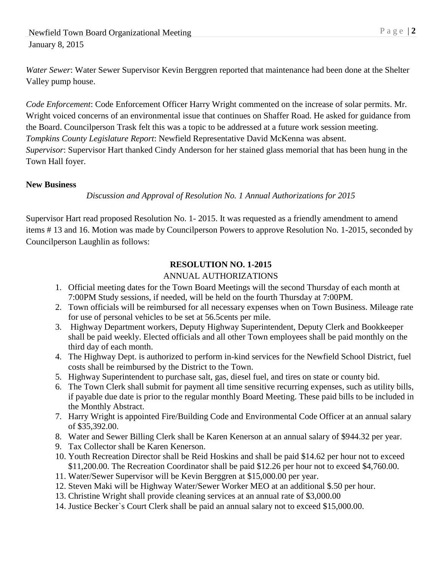*Water Sewer*: Water Sewer Supervisor Kevin Berggren reported that maintenance had been done at the Shelter Valley pump house.

*Code Enforcement*: Code Enforcement Officer Harry Wright commented on the increase of solar permits. Mr. Wright voiced concerns of an environmental issue that continues on Shaffer Road. He asked for guidance from the Board. Councilperson Trask felt this was a topic to be addressed at a future work session meeting. *Tompkins County Legislature Report*: Newfield Representative David McKenna was absent. *Supervisor*: Supervisor Hart thanked Cindy Anderson for her stained glass memorial that has been hung in the Town Hall foyer.

#### **New Business**

#### *Discussion and Approval of Resolution No. 1 Annual Authorizations for 2015*

Supervisor Hart read proposed Resolution No. 1- 2015. It was requested as a friendly amendment to amend items # 13 and 16. Motion was made by Councilperson Powers to approve Resolution No. 1-2015, seconded by Councilperson Laughlin as follows:

#### **RESOLUTION NO. 1-2015**

#### ANNUAL AUTHORIZATIONS

- 1. Official meeting dates for the Town Board Meetings will the second Thursday of each month at 7:00PM Study sessions, if needed, will be held on the fourth Thursday at 7:00PM.
- 2. Town officials will be reimbursed for all necessary expenses when on Town Business. Mileage rate for use of personal vehicles to be set at 56.5cents per mile.
- 3. Highway Department workers, Deputy Highway Superintendent, Deputy Clerk and Bookkeeper shall be paid weekly. Elected officials and all other Town employees shall be paid monthly on the third day of each month.
- 4. The Highway Dept. is authorized to perform in-kind services for the Newfield School District, fuel costs shall be reimbursed by the District to the Town.
- 5. Highway Superintendent to purchase salt, gas, diesel fuel, and tires on state or county bid.
- 6. The Town Clerk shall submit for payment all time sensitive recurring expenses, such as utility bills, if payable due date is prior to the regular monthly Board Meeting. These paid bills to be included in the Monthly Abstract.
- 7. Harry Wright is appointed Fire/Building Code and Environmental Code Officer at an annual salary of \$35,392.00.
- 8. Water and Sewer Billing Clerk shall be Karen Kenerson at an annual salary of \$944.32 per year.
- 9. Tax Collector shall be Karen Kenerson.
- 10. Youth Recreation Director shall be Reid Hoskins and shall be paid \$14.62 per hour not to exceed \$11,200.00. The Recreation Coordinator shall be paid \$12.26 per hour not to exceed \$4,760.00.
- 11. Water/Sewer Supervisor will be Kevin Berggren at \$15,000.00 per year.
- 12. Steven Maki will be Highway Water/Sewer Worker MEO at an additional \$.50 per hour.
- 13. Christine Wright shall provide cleaning services at an annual rate of \$3,000.00
- 14. Justice Becker`s Court Clerk shall be paid an annual salary not to exceed \$15,000.00.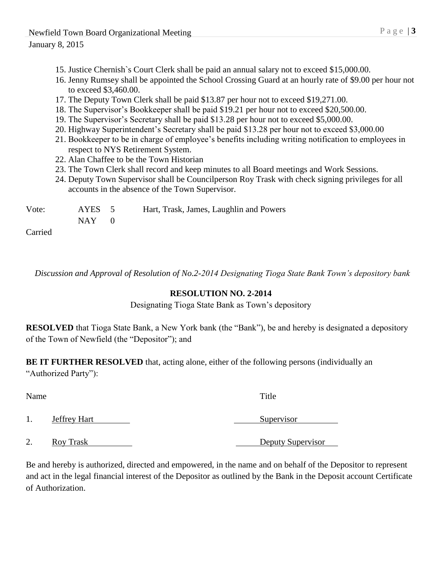#### January 8, 2015

- 15. Justice Chernish`s Court Clerk shall be paid an annual salary not to exceed \$15,000.00.
- 16. Jenny Rumsey shall be appointed the School Crossing Guard at an hourly rate of \$9.00 per hour not to exceed \$3,460.00.
- 17. The Deputy Town Clerk shall be paid \$13.87 per hour not to exceed \$19,271.00.
- 18. The Supervisor's Bookkeeper shall be paid \$19.21 per hour not to exceed \$20,500.00.
- 19. The Supervisor's Secretary shall be paid \$13.28 per hour not to exceed \$5,000.00.
- 20. Highway Superintendent's Secretary shall be paid \$13.28 per hour not to exceed \$3,000.00
- 21. Bookkeeper to be in charge of employee's benefits including writing notification to employees in respect to NYS Retirement System.
- 22. Alan Chaffee to be the Town Historian
- 23. The Town Clerk shall record and keep minutes to all Board meetings and Work Sessions.
- 24. Deputy Town Supervisor shall be Councilperson Roy Trask with check signing privileges for all accounts in the absence of the Town Supervisor.

| Vote: | AYES 5  | Hart, Trask, James, Laughlin and Powers |
|-------|---------|-----------------------------------------|
|       | $NAY$ 0 |                                         |
| ____  |         |                                         |

Carried

*Discussion and Approval of Resolution of No.2-2014 Designating Tioga State Bank Town's depository bank*

### **RESOLUTION NO. 2-2014**

Designating Tioga State Bank as Town's depository

**RESOLVED** that Tioga State Bank, a New York bank (the "Bank"), be and hereby is designated a depository of the Town of Newfield (the "Depositor"); and

**BE IT FURTHER RESOLVED** that, acting alone, either of the following persons (individually an "Authorized Party"):

Name Title 1. **Jeffrey Hart** Supervisor 2. Roy Trask Deputy Supervisor

Be and hereby is authorized, directed and empowered, in the name and on behalf of the Depositor to represent and act in the legal financial interest of the Depositor as outlined by the Bank in the Deposit account Certificate of Authorization.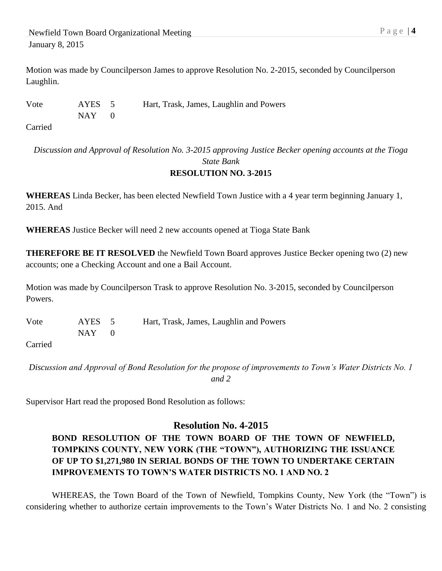Motion was made by Councilperson James to approve Resolution No. 2-2015, seconded by Councilperson Laughlin.

Vote AYES 5 Hart, Trask, James, Laughlin and Powers  $NAY$  0

Carried

*Discussion and Approval of Resolution No. 3-2015 approving Justice Becker opening accounts at the Tioga State Bank* **RESOLUTION NO. 3-2015**

**WHEREAS** Linda Becker, has been elected Newfield Town Justice with a 4 year term beginning January 1, 2015. And

**WHEREAS** Justice Becker will need 2 new accounts opened at Tioga State Bank

**THEREFORE BE IT RESOLVED** the Newfield Town Board approves Justice Becker opening two (2) new accounts; one a Checking Account and one a Bail Account.

Motion was made by Councilperson Trask to approve Resolution No. 3-2015, seconded by Councilperson Powers.

Vote AYES 5 Hart, Trask, James, Laughlin and Powers  $NAY$  0

Carried

*Discussion and Approval of Bond Resolution for the propose of improvements to Town's Water Districts No. 1 and 2*

Supervisor Hart read the proposed Bond Resolution as follows:

# **Resolution No. 4-2015**

**BOND RESOLUTION OF THE TOWN BOARD OF THE TOWN OF NEWFIELD, TOMPKINS COUNTY, NEW YORK (THE "TOWN"), AUTHORIZING THE ISSUANCE OF UP TO \$1,271,980 IN SERIAL BONDS OF THE TOWN TO UNDERTAKE CERTAIN IMPROVEMENTS TO TOWN'S WATER DISTRICTS NO. 1 AND NO. 2** 

WHEREAS, the Town Board of the Town of Newfield, Tompkins County, New York (the "Town") is considering whether to authorize certain improvements to the Town's Water Districts No. 1 and No. 2 consisting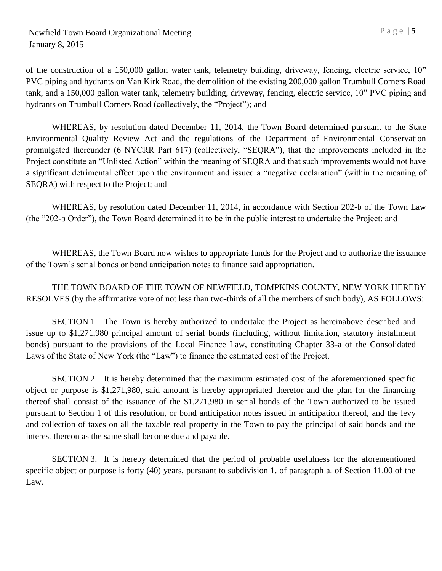of the construction of a 150,000 gallon water tank, telemetry building, driveway, fencing, electric service, 10" PVC piping and hydrants on Van Kirk Road, the demolition of the existing 200,000 gallon Trumbull Corners Road tank, and a 150,000 gallon water tank, telemetry building, driveway, fencing, electric service, 10" PVC piping and hydrants on Trumbull Corners Road (collectively, the "Project"); and

WHEREAS, by resolution dated December 11, 2014, the Town Board determined pursuant to the State Environmental Quality Review Act and the regulations of the Department of Environmental Conservation promulgated thereunder (6 NYCRR Part 617) (collectively, "SEQRA"), that the improvements included in the Project constitute an "Unlisted Action" within the meaning of SEQRA and that such improvements would not have a significant detrimental effect upon the environment and issued a "negative declaration" (within the meaning of SEQRA) with respect to the Project; and

WHEREAS, by resolution dated December 11, 2014, in accordance with Section 202-b of the Town Law (the "202-b Order"), the Town Board determined it to be in the public interest to undertake the Project; and

WHEREAS, the Town Board now wishes to appropriate funds for the Project and to authorize the issuance of the Town's serial bonds or bond anticipation notes to finance said appropriation.

THE TOWN BOARD OF THE TOWN OF NEWFIELD, TOMPKINS COUNTY, NEW YORK HEREBY RESOLVES (by the affirmative vote of not less than two-thirds of all the members of such body), AS FOLLOWS:

SECTION 1. The Town is hereby authorized to undertake the Project as hereinabove described and issue up to \$1,271,980 principal amount of serial bonds (including, without limitation, statutory installment bonds) pursuant to the provisions of the Local Finance Law, constituting Chapter 33-a of the Consolidated Laws of the State of New York (the "Law") to finance the estimated cost of the Project.

SECTION 2. It is hereby determined that the maximum estimated cost of the aforementioned specific object or purpose is \$1,271,980, said amount is hereby appropriated therefor and the plan for the financing thereof shall consist of the issuance of the \$1,271,980 in serial bonds of the Town authorized to be issued pursuant to Section 1 of this resolution, or bond anticipation notes issued in anticipation thereof, and the levy and collection of taxes on all the taxable real property in the Town to pay the principal of said bonds and the interest thereon as the same shall become due and payable.

SECTION 3. It is hereby determined that the period of probable usefulness for the aforementioned specific object or purpose is forty (40) years, pursuant to subdivision 1. of paragraph a. of Section 11.00 of the Law.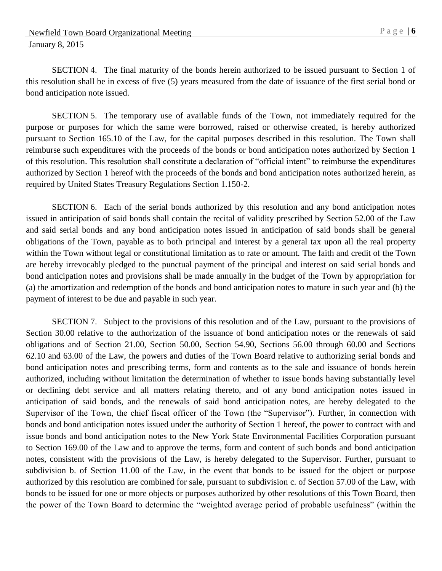SECTION 4. The final maturity of the bonds herein authorized to be issued pursuant to Section 1 of this resolution shall be in excess of five (5) years measured from the date of issuance of the first serial bond or bond anticipation note issued.

SECTION 5. The temporary use of available funds of the Town, not immediately required for the purpose or purposes for which the same were borrowed, raised or otherwise created, is hereby authorized pursuant to Section 165.10 of the Law, for the capital purposes described in this resolution. The Town shall reimburse such expenditures with the proceeds of the bonds or bond anticipation notes authorized by Section 1 of this resolution. This resolution shall constitute a declaration of "official intent" to reimburse the expenditures authorized by Section 1 hereof with the proceeds of the bonds and bond anticipation notes authorized herein, as required by United States Treasury Regulations Section 1.150-2.

SECTION 6. Each of the serial bonds authorized by this resolution and any bond anticipation notes issued in anticipation of said bonds shall contain the recital of validity prescribed by Section 52.00 of the Law and said serial bonds and any bond anticipation notes issued in anticipation of said bonds shall be general obligations of the Town, payable as to both principal and interest by a general tax upon all the real property within the Town without legal or constitutional limitation as to rate or amount. The faith and credit of the Town are hereby irrevocably pledged to the punctual payment of the principal and interest on said serial bonds and bond anticipation notes and provisions shall be made annually in the budget of the Town by appropriation for (a) the amortization and redemption of the bonds and bond anticipation notes to mature in such year and (b) the payment of interest to be due and payable in such year.

SECTION 7. Subject to the provisions of this resolution and of the Law, pursuant to the provisions of Section 30.00 relative to the authorization of the issuance of bond anticipation notes or the renewals of said obligations and of Section 21.00, Section 50.00, Section 54.90, Sections 56.00 through 60.00 and Sections 62.10 and 63.00 of the Law, the powers and duties of the Town Board relative to authorizing serial bonds and bond anticipation notes and prescribing terms, form and contents as to the sale and issuance of bonds herein authorized, including without limitation the determination of whether to issue bonds having substantially level or declining debt service and all matters relating thereto, and of any bond anticipation notes issued in anticipation of said bonds, and the renewals of said bond anticipation notes, are hereby delegated to the Supervisor of the Town, the chief fiscal officer of the Town (the "Supervisor"). Further, in connection with bonds and bond anticipation notes issued under the authority of Section 1 hereof, the power to contract with and issue bonds and bond anticipation notes to the New York State Environmental Facilities Corporation pursuant to Section 169.00 of the Law and to approve the terms, form and content of such bonds and bond anticipation notes, consistent with the provisions of the Law, is hereby delegated to the Supervisor. Further, pursuant to subdivision b. of Section 11.00 of the Law, in the event that bonds to be issued for the object or purpose authorized by this resolution are combined for sale, pursuant to subdivision c. of Section 57.00 of the Law, with bonds to be issued for one or more objects or purposes authorized by other resolutions of this Town Board, then the power of the Town Board to determine the "weighted average period of probable usefulness" (within the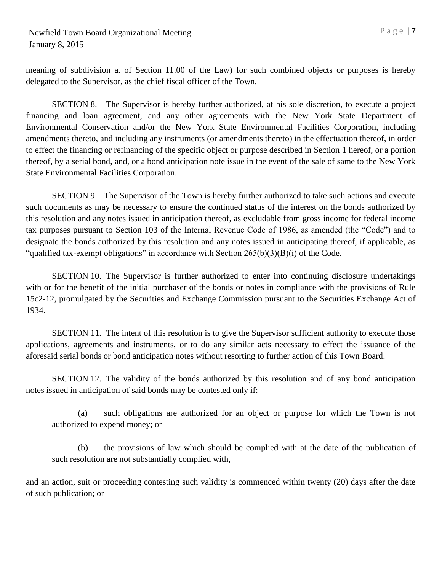meaning of subdivision a. of Section 11.00 of the Law) for such combined objects or purposes is hereby delegated to the Supervisor, as the chief fiscal officer of the Town.

SECTION 8. The Supervisor is hereby further authorized, at his sole discretion, to execute a project financing and loan agreement, and any other agreements with the New York State Department of Environmental Conservation and/or the New York State Environmental Facilities Corporation, including amendments thereto, and including any instruments (or amendments thereto) in the effectuation thereof, in order to effect the financing or refinancing of the specific object or purpose described in Section 1 hereof, or a portion thereof, by a serial bond, and, or a bond anticipation note issue in the event of the sale of same to the New York State Environmental Facilities Corporation.

SECTION 9. The Supervisor of the Town is hereby further authorized to take such actions and execute such documents as may be necessary to ensure the continued status of the interest on the bonds authorized by this resolution and any notes issued in anticipation thereof, as excludable from gross income for federal income tax purposes pursuant to Section 103 of the Internal Revenue Code of 1986, as amended (the "Code") and to designate the bonds authorized by this resolution and any notes issued in anticipating thereof, if applicable, as "qualified tax-exempt obligations" in accordance with Section  $265(b)(3)(B)(i)$  of the Code.

SECTION 10. The Supervisor is further authorized to enter into continuing disclosure undertakings with or for the benefit of the initial purchaser of the bonds or notes in compliance with the provisions of Rule 15c2-12, promulgated by the Securities and Exchange Commission pursuant to the Securities Exchange Act of 1934.

SECTION 11. The intent of this resolution is to give the Supervisor sufficient authority to execute those applications, agreements and instruments, or to do any similar acts necessary to effect the issuance of the aforesaid serial bonds or bond anticipation notes without resorting to further action of this Town Board.

SECTION 12. The validity of the bonds authorized by this resolution and of any bond anticipation notes issued in anticipation of said bonds may be contested only if:

(a) such obligations are authorized for an object or purpose for which the Town is not authorized to expend money; or

(b) the provisions of law which should be complied with at the date of the publication of such resolution are not substantially complied with,

and an action, suit or proceeding contesting such validity is commenced within twenty (20) days after the date of such publication; or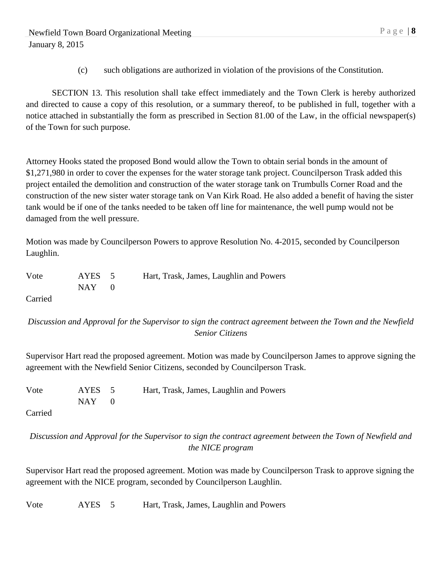(c) such obligations are authorized in violation of the provisions of the Constitution.

SECTION 13. This resolution shall take effect immediately and the Town Clerk is hereby authorized and directed to cause a copy of this resolution, or a summary thereof, to be published in full, together with a notice attached in substantially the form as prescribed in Section 81.00 of the Law, in the official newspaper(s) of the Town for such purpose.

Attorney Hooks stated the proposed Bond would allow the Town to obtain serial bonds in the amount of \$1,271,980 in order to cover the expenses for the water storage tank project. Councilperson Trask added this project entailed the demolition and construction of the water storage tank on Trumbulls Corner Road and the construction of the new sister water storage tank on Van Kirk Road. He also added a benefit of having the sister tank would be if one of the tanks needed to be taken off line for maintenance, the well pump would not be damaged from the well pressure.

Motion was made by Councilperson Powers to approve Resolution No. 4-2015, seconded by Councilperson Laughlin.

| Vote                 | AYES 5    | Hart, Trask, James, Laughlin and Powers |
|----------------------|-----------|-----------------------------------------|
|                      | $NAY = 0$ |                                         |
| $\sim$ $\sim$ $\sim$ |           |                                         |

Carried

### *Discussion and Approval for the Supervisor to sign the contract agreement between the Town and the Newfield Senior Citizens*

Supervisor Hart read the proposed agreement. Motion was made by Councilperson James to approve signing the agreement with the Newfield Senior Citizens, seconded by Councilperson Trask.

| Vote | AYES 5     | Hart, Trask, James, Laughlin and Powers |
|------|------------|-----------------------------------------|
|      | $NAY \t 0$ |                                         |
|      |            |                                         |

Carried

## *Discussion and Approval for the Supervisor to sign the contract agreement between the Town of Newfield and the NICE program*

Supervisor Hart read the proposed agreement. Motion was made by Councilperson Trask to approve signing the agreement with the NICE program, seconded by Councilperson Laughlin.

Vote AYES 5 Hart, Trask, James, Laughlin and Powers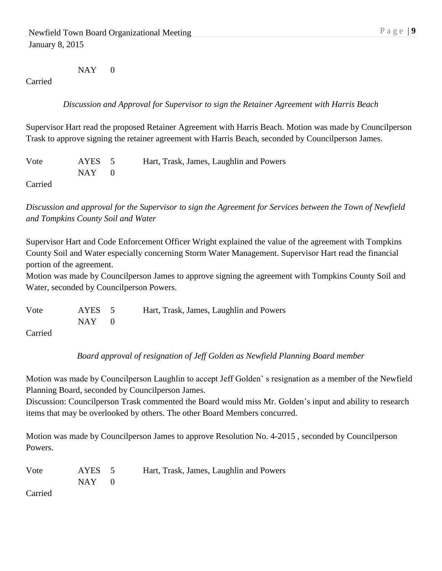NAY 0

#### Carried

*Discussion and Approval for Supervisor to sign the Retainer Agreement with Harris Beach*

Supervisor Hart read the proposed Retainer Agreement with Harris Beach. Motion was made by Councilperson Trask to approve signing the retainer agreement with Harris Beach, seconded by Councilperson James.

Vote AYES 5 Hart, Trask, James, Laughlin and Powers  $NAY$  0

Carried

*Discussion and approval for the Supervisor to sign the Agreement for Services between the Town of Newfield and Tompkins County Soil and Water*

Supervisor Hart and Code Enforcement Officer Wright explained the value of the agreement with Tompkins County Soil and Water especially concerning Storm Water Management. Supervisor Hart read the financial portion of the agreement.

Motion was made by Councilperson James to approve signing the agreement with Tompkins County Soil and Water, seconded by Councilperson Powers.

Vote AYES 5 Hart, Trask, James, Laughlin and Powers  $NAY$  0

Carried

*Board approval of resignation of Jeff Golden as Newfield Planning Board member*

Motion was made by Councilperson Laughlin to accept Jeff Golden' s resignation as a member of the Newfield Planning Board, seconded by Councilperson James.

Discussion: Councilperson Trask commented the Board would miss Mr. Golden's input and ability to research items that may be overlooked by others. The other Board Members concurred.

Motion was made by Councilperson James to approve Resolution No. 4-2015 , seconded by Councilperson Powers.

| Vote | AYES 5 | Hart, Trask, James, Laughlin and Powers |
|------|--------|-----------------------------------------|
|      | NAY 1  |                                         |

Carried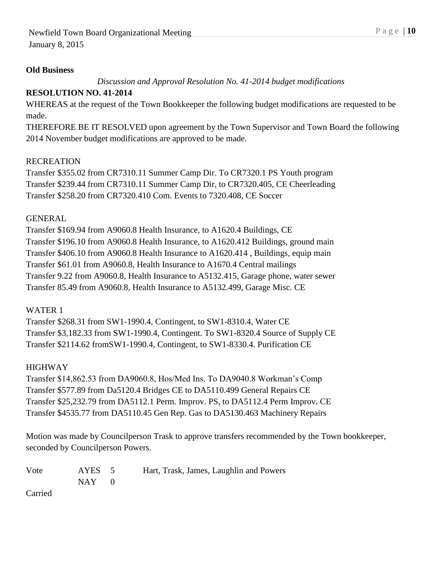#### **Old Business**

*Discussion and Approval Resolution No. 41-2014 budget modifications*

## **RESOLUTION NO. 41-2014**

WHEREAS at the request of the Town Bookkeeper the following budget modifications are requested to be made.

THEREFORE BE IT RESOLVED upon agreement by the Town Supervisor and Town Board the following 2014 November budget modifications are approved to be made.

#### RECREATION

Transfer \$355.02 from CR7310.11 Summer Camp Dir. To CR7320.1 PS Youth program Transfer \$239.44 from CR7310.11 Summer Camp Dir, to CR7320.405, CE Cheerleading Transfer \$258.20 from CR7320.410 Com. Events to 7320.408, CE Soccer

#### GENERAL

Transfer \$169.94 from A9060.8 Health Insurance, to A1620.4 Buildings, CE Transfer \$196.10 from A9060.8 Health Insurance, to A1620.412 Buildings, ground main Transfer \$406.10 from A9060.8 Health Insurance to A1620.414 , Buildings, equip main Transfer \$61.01 from A9060.8, Health Insurance to A1670.4 Central mailings Transfer 9.22 from A9060.8, Health Insurance to A5132.415, Garage phone, water sewer Transfer 85.49 from A9060.8, Health Insurance to A5132.499, Garage Misc. CE

### WATER 1

Transfer \$268.31 from SW1-1990.4, Contingent, to SW1-8310.4, Water CE Transfer \$3,182.33 from SW1-1990.4, Contingent. To SW1-8320.4 Source of Supply CE Transfer \$2114.62 fromSW1-1990.4, Contingent, to SW1-8330.4. Purification CE

### HIGHWAY

Transfer \$14,862.53 from DA9060.8, Hos/Med Ins. To DA9040.8 Workman's Comp Transfer \$577.89 from Da5120.4 Bridges CE to DA5110.499 General Repairs CE Transfer \$25,232.79 from DA5112.1 Perm. Improv. PS, to DA5112.4 Perm Improv. CE Transfer \$4535.77 from DA5110.45 Gen Rep. Gas to DA5130.463 Machinery Repairs

Motion was made by Councilperson Trask to approve transfers recommended by the Town bookkeeper, seconded by Councilperson Powers.

| Vote | AYES 5     | Hart, Trask, James, Laughlin and Powers |
|------|------------|-----------------------------------------|
|      | $NAY \t 0$ |                                         |

Carried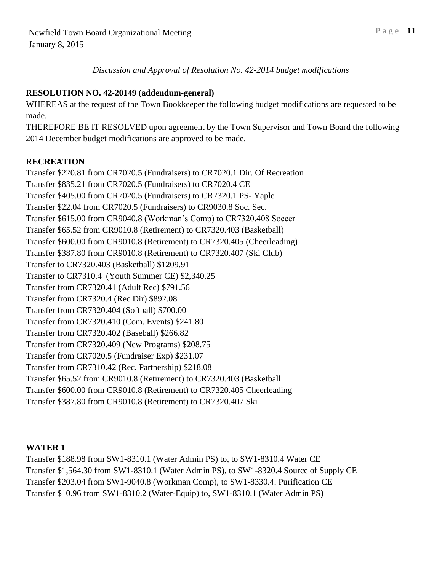*Discussion and Approval of Resolution No. 42-2014 budget modifications*

## **RESOLUTION NO. 42-20149 (addendum-general)**

WHEREAS at the request of the Town Bookkeeper the following budget modifications are requested to be made.

THEREFORE BE IT RESOLVED upon agreement by the Town Supervisor and Town Board the following 2014 December budget modifications are approved to be made.

### **RECREATION**

Transfer \$220.81 from CR7020.5 (Fundraisers) to CR7020.1 Dir. Of Recreation Transfer \$835.21 from CR7020.5 (Fundraisers) to CR7020.4 CE Transfer \$405.00 from CR7020.5 (Fundraisers) to CR7320.1 PS- Yaple Transfer \$22.04 from CR7020.5 (Fundraisers) to CR9030.8 Soc. Sec. Transfer \$615.00 from CR9040.8 (Workman's Comp) to CR7320.408 Soccer Transfer \$65.52 from CR9010.8 (Retirement) to CR7320.403 (Basketball) Transfer \$600.00 from CR9010.8 (Retirement) to CR7320.405 (Cheerleading) Transfer \$387.80 from CR9010.8 (Retirement) to CR7320.407 (Ski Club) Transfer to CR7320.403 (Basketball) \$1209.91 Transfer to CR7310.4 (Youth Summer CE) \$2,340.25 Transfer from CR7320.41 (Adult Rec) \$791.56 Transfer from CR7320.4 (Rec Dir) \$892.08 Transfer from CR7320.404 (Softball) \$700.00 Transfer from CR7320.410 (Com. Events) \$241.80 Transfer from CR7320.402 (Baseball) \$266.82 Transfer from CR7320.409 (New Programs) \$208.75 Transfer from CR7020.5 (Fundraiser Exp) \$231.07 Transfer from CR7310.42 (Rec. Partnership) \$218.08 Transfer \$65.52 from CR9010.8 (Retirement) to CR7320.403 (Basketball Transfer \$600.00 from CR9010.8 (Retirement) to CR7320.405 Cheerleading Transfer \$387.80 from CR9010.8 (Retirement) to CR7320.407 Ski

### **WATER 1**

Transfer \$188.98 from SW1-8310.1 (Water Admin PS) to, to SW1-8310.4 Water CE Transfer \$1,564.30 from SW1-8310.1 (Water Admin PS), to SW1-8320.4 Source of Supply CE Transfer \$203.04 from SW1-9040.8 (Workman Comp), to SW1-8330.4. Purification CE Transfer \$10.96 from SW1-8310.2 (Water-Equip) to, SW1-8310.1 (Water Admin PS)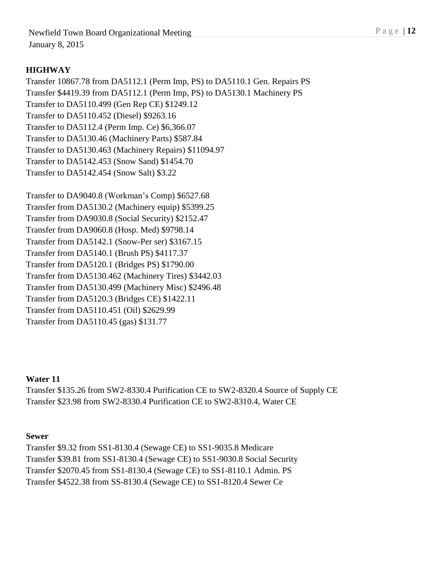## **HIGHWAY**

Transfer 10867.78 from DA5112.1 (Perm Imp, PS) to DA5110.1 Gen. Repairs PS Transfer \$4419.39 from DA5112.1 (Perm Imp, PS) to DA5130.1 Machinery PS Transfer to DA5110.499 (Gen Rep CE) \$1249.12 Transfer to DA5110.452 (Diesel) \$9263.16 Transfer to DA5112.4 (Perm Imp. Ce) \$6,366.07 Transfer to DA5130.46 (Machinery Parts) \$587.84 Transfer to DA5130.463 (Machinery Repairs) \$11094.97 Transfer to DA5142.453 (Snow Sand) \$1454.70 Transfer to DA5142.454 (Snow Salt) \$3.22

Transfer to DA9040.8 (Workman's Comp) \$6527.68 Transfer from DA5130.2 (Machinery equip) \$5399.25 Transfer from DA9030.8 (Social Security) \$2152.47 Transfer from DA9060.8 (Hosp. Med) \$9798.14 Transfer from DA5142.1 (Snow-Per ser) \$3167.15 Transfer from DA5140.1 (Brush PS) \$4117.37 Transfer from DA5120.1 (Bridges PS) \$1790.00 Transfer from DA5130.462 (Machinery Tires) \$3442.03 Transfer from DA5130.499 (Machinery Misc) \$2496.48 Transfer from DA5120.3 (Bridges CE) \$1422.11 Transfer from DA5110.451 (Oil) \$2629.99 Transfer from DA5110.45 (gas) \$131.77

### **Water 11**

Transfer \$135.26 from SW2-8330.4 Purification CE to SW2-8320.4 Source of Supply CE Transfer \$23.98 from SW2-8330.4 Purification CE to SW2-8310.4, Water CE

#### **Sewer**

Transfer \$9.32 from SS1-8130.4 (Sewage CE) to SS1-9035.8 Medicare Transfer \$39.81 from SS1-8130.4 (Sewage CE) to SS1-9030.8 Social Security Transfer \$2070.45 from SS1-8130.4 (Sewage CE) to SS1-8110.1 Admin. PS Transfer \$4522.38 from SS-8130.4 (Sewage CE) to SS1-8120.4 Sewer Ce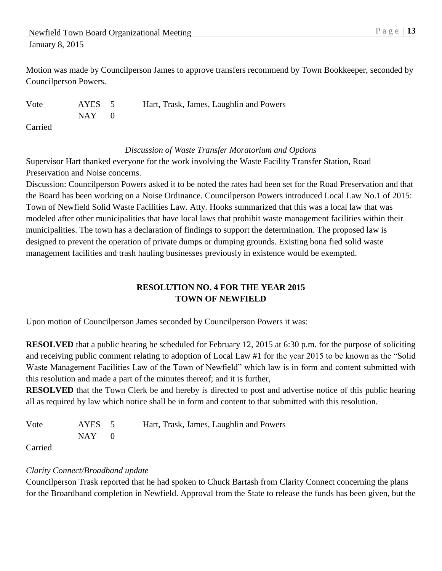Newfield Town Board Organizational Meeting P a g e | 13 January 8, 2015

Motion was made by Councilperson James to approve transfers recommend by Town Bookkeeper, seconded by Councilperson Powers.

Vote AYES 5 Hart, Trask, James, Laughlin and Powers  $NAY$  0 Carried

*Discussion of Waste Transfer Moratorium and Options*

Supervisor Hart thanked everyone for the work involving the Waste Facility Transfer Station, Road Preservation and Noise concerns.

Discussion: Councilperson Powers asked it to be noted the rates had been set for the Road Preservation and that the Board has been working on a Noise Ordinance. Councilperson Powers introduced Local Law No.1 of 2015: Town of Newfield Solid Waste Facilities Law. Atty. Hooks summarized that this was a local law that was modeled after other municipalities that have local laws that prohibit waste management facilities within their municipalities. The town has a declaration of findings to support the determination. The proposed law is designed to prevent the operation of private dumps or dumping grounds. Existing bona fied solid waste management facilities and trash hauling businesses previously in existence would be exempted.

## **RESOLUTION NO. 4 FOR THE YEAR 2015 TOWN OF NEWFIELD**

Upon motion of Councilperson James seconded by Councilperson Powers it was:

**RESOLVED** that a public hearing be scheduled for February 12, 2015 at 6:30 p.m. for the purpose of soliciting and receiving public comment relating to adoption of Local Law #1 for the year 2015 to be known as the "Solid Waste Management Facilities Law of the Town of Newfield" which law is in form and content submitted with this resolution and made a part of the minutes thereof; and it is further,

**RESOLVED** that the Town Clerk be and hereby is directed to post and advertise notice of this public hearing all as required by law which notice shall be in form and content to that submitted with this resolution.

Vote AYES 5 Hart, Trask, James, Laughlin and Powers  $NAY$  0

Carried

### *Clarity Connect/Broadband update*

Councilperson Trask reported that he had spoken to Chuck Bartash from Clarity Connect concerning the plans for the Broardband completion in Newfield. Approval from the State to release the funds has been given, but the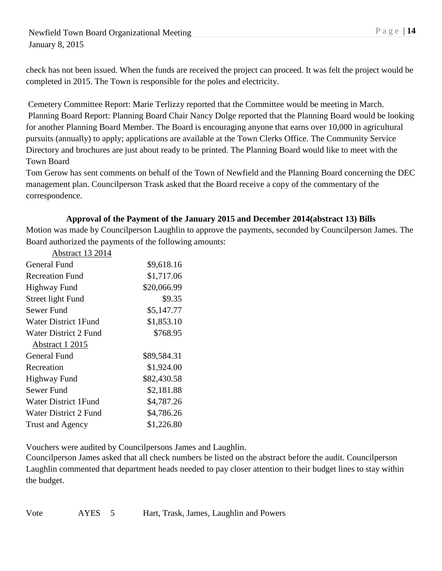Newfield Town Board Organizational Meeting P a g e | 14 January 8, 2015

check has not been issued. When the funds are received the project can proceed. It was felt the project would be completed in 2015. The Town is responsible for the poles and electricity.

Cemetery Committee Report: Marie Terlizzy reported that the Committee would be meeting in March. Planning Board Report: Planning Board Chair Nancy Dolge reported that the Planning Board would be looking for another Planning Board Member. The Board is encouraging anyone that earns over 10,000 in agricultural pursuits (annually) to apply; applications are available at the Town Clerks Office. The Community Service Directory and brochures are just about ready to be printed. The Planning Board would like to meet with the Town Board

Tom Gerow has sent comments on behalf of the Town of Newfield and the Planning Board concerning the DEC management plan. Councilperson Trask asked that the Board receive a copy of the commentary of the correspondence.

#### **Approval of the Payment of the January 2015 and December 2014(abstract 13) Bills**

Motion was made by Councilperson Laughlin to approve the payments, seconded by Councilperson James. The Board authorized the payments of the following amounts:

| <b>Abstract 13 2014</b> |             |
|-------------------------|-------------|
| General Fund            | \$9,618.16  |
| <b>Recreation Fund</b>  | \$1,717.06  |
| <b>Highway Fund</b>     | \$20,066.99 |
| Street light Fund       | \$9.35      |
| Sewer Fund              | \$5,147.77  |
| Water District 1 Fund   | \$1,853.10  |
| Water District 2 Fund   | \$768.95    |
| Abstract 1 2015         |             |
| General Fund            | \$89,584.31 |
| Recreation              | \$1,924.00  |
| <b>Highway Fund</b>     | \$82,430.58 |
| Sewer Fund              | \$2,181.88  |
| Water District 1 Fund   | \$4,787.26  |
| Water District 2 Fund   | \$4,786.26  |
| <b>Trust and Agency</b> | \$1,226.80  |

Vouchers were audited by Councilpersons James and Laughlin.

Councilperson James asked that all check numbers be listed on the abstract before the audit. Councilperson Laughlin commented that department heads needed to pay closer attention to their budget lines to stay within the budget.